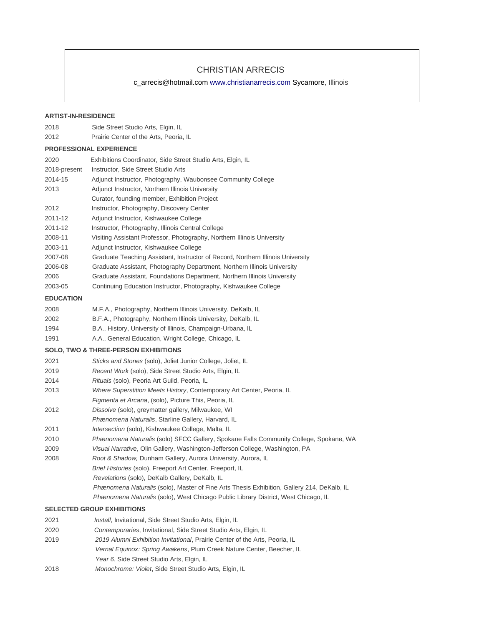# CHRISTIAN ARRECIS

c\_arrecis@hotmail.com www.christianarrecis.com Sycamore, Illinois

## **ARTIST-IN-RESIDENCE**

| 2018             | Side Street Studio Arts, Elgin, IL                                                           |
|------------------|----------------------------------------------------------------------------------------------|
| 2012             | Prairie Center of the Arts, Peoria, IL                                                       |
|                  | <b>PROFESSIONAL EXPERIENCE</b>                                                               |
| 2020             | Exhibitions Coordinator, Side Street Studio Arts, Elgin, IL                                  |
| 2018-present     | Instructor, Side Street Studio Arts                                                          |
| 2014-15          | Adjunct Instructor, Photography, Waubonsee Community College                                 |
| 2013             | Adjunct Instructor, Northern Illinois University                                             |
|                  | Curator, founding member, Exhibition Project                                                 |
| 2012             | Instructor, Photography, Discovery Center                                                    |
| 2011-12          | Adjunct Instructor, Kishwaukee College                                                       |
| 2011-12          | Instructor, Photography, Illinois Central College                                            |
| 2008-11          | Visiting Assistant Professor, Photography, Northern Illinois University                      |
| 2003-11          | Adjunct Instructor, Kishwaukee College                                                       |
| 2007-08          | Graduate Teaching Assistant, Instructor of Record, Northern Illinois University              |
| 2006-08          | Graduate Assistant, Photography Department, Northern Illinois University                     |
| 2006             | Graduate Assistant, Foundations Department, Northern Illinois University                     |
| 2003-05          | Continuing Education Instructor, Photography, Kishwaukee College                             |
| <b>EDUCATION</b> |                                                                                              |
| 2008             | M.F.A., Photography, Northern Illinois University, DeKalb, IL                                |
| 2002             | B.F.A., Photography, Northern Illinois University, DeKalb, IL                                |
| 1994             | B.A., History, University of Illinois, Champaign-Urbana, IL                                  |
| 1991             | A.A., General Education, Wright College, Chicago, IL                                         |
|                  | <b>SOLO, TWO &amp; THREE-PERSON EXHIBITIONS</b>                                              |
| 2021             | Sticks and Stones (solo), Joliet Junior College, Joliet, IL                                  |
| 2019             | Recent Work (solo), Side Street Studio Arts, Elgin, IL                                       |
| 2014             | Rituals (solo), Peoria Art Guild, Peoria, IL                                                 |
| 2013             | Where Superstition Meets History, Contemporary Art Center, Peoria, IL                        |
|                  | Figmenta et Arcana, (solo), Picture This, Peoria, IL                                         |
| 2012             | Dissolve (solo), greymatter gallery, Milwaukee, WI                                           |
|                  | Phænomena Naturalis, Starline Gallery, Harvard, IL                                           |
| 2011             | Intersection (solo), Kishwaukee College, Malta, IL                                           |
| 2010             | <i>Phænomena Naturalis</i> (solo) SFCC Gallery, Spokane Falls Community College, Spokane, WA |
| 2009             | Visual Narrative, Olin Gallery, Washington-Jefferson College, Washington, PA                 |
| 2008             | Root & Shadow, Dunham Gallery, Aurora University, Aurora, IL                                 |
|                  | Brief Histories (solo), Freeport Art Center, Freeport, IL                                    |
|                  | Revelations (solo), DeKalb Gallery, DeKalb, IL                                               |
|                  | Phænomena Naturalis (solo), Master of Fine Arts Thesis Exhibition, Gallery 214, DeKalb, IL   |
|                  | Phænomena Naturalis (solo), West Chicago Public Library District, West Chicago, IL           |
|                  | <b>SELECTED GROUP EXHIBITIONS</b>                                                            |
| 2021             | Install, Invitational, Side Street Studio Arts, Elgin, IL                                    |
| 2020             | Contemporaries, Invitational, Side Street Studio Arts, Elgin, IL                             |
| 2019             | 2019 Alumni Exhibition Invitational, Prairie Center of the Arts, Peoria, IL                  |

Vernal Equinox: Spring Awakens, Plum Creek Nature Center, Beecher, IL

- Year 6, Side Street Studio Arts, Elgin, IL
- 2018 Monochrome: Violet, Side Street Studio Arts, Elgin, IL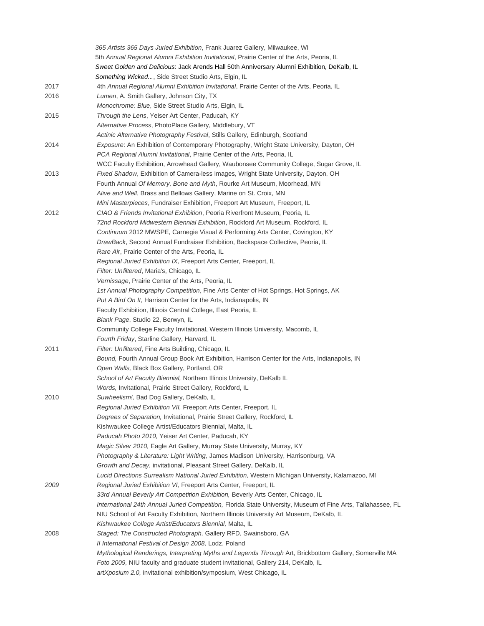|      | 365 Artists 365 Days Juried Exhibition, Frank Juarez Gallery, Milwaukee, WI                                  |
|------|--------------------------------------------------------------------------------------------------------------|
|      | 5th Annual Regional Alumni Exhibition Invitational, Prairie Center of the Arts, Peoria, IL                   |
|      | Sweet Golden and Delicious: Jack Arends Hall 50th Anniversary Alumni Exhibition, DeKalb, IL                  |
|      | Something Wicked, Side Street Studio Arts, Elgin, IL                                                         |
| 2017 | 4th Annual Regional Alumni Exhibition Invitational, Prairie Center of the Arts, Peoria, IL                   |
| 2016 | Lumen, A. Smith Gallery, Johnson City, TX                                                                    |
|      | Monochrome: Blue, Side Street Studio Arts, Elgin, IL                                                         |
| 2015 | <i>Through the Lens, Yeiser Art Center, Paducah, KY</i>                                                      |
|      | Alternative Process, PhotoPlace Gallery, Middlebury, VT                                                      |
|      | Actinic Alternative Photography Festival, Stills Gallery, Edinburgh, Scotland                                |
| 2014 | Exposure: An Exhibition of Contemporary Photography, Wright State University, Dayton, OH                     |
|      | PCA Regional Alumni Invitational, Prairie Center of the Arts, Peoria, IL                                     |
|      | WCC Faculty Exhibition, Arrowhead Gallery, Waubonsee Community College, Sugar Grove, IL                      |
| 2013 | Fixed Shadow, Exhibition of Camera-less Images, Wright State University, Dayton, OH                          |
|      | Fourth Annual Of Memory, Bone and Myth, Rourke Art Museum, Moorhead, MN                                      |
|      | Alive and Well, Brass and Bellows Gallery, Marine on St. Croix, MN                                           |
|      | Mini Masterpieces, Fundraiser Exhibition, Freeport Art Museum, Freeport, IL                                  |
| 2012 | CIAO & Friends Invitational Exhibition, Peoria Riverfront Museum, Peoria, IL                                 |
|      | 72nd Rockford Midwestern Biennial Exhibition, Rockford Art Museum, Rockford, IL                              |
|      | Continuum 2012 MWSPE, Carnegie Visual & Performing Arts Center, Covington, KY                                |
|      | DrawBack, Second Annual Fundraiser Exhibition, Backspace Collective, Peoria, IL                              |
|      | Rare Air, Prairie Center of the Arts, Peoria, IL                                                             |
|      | Regional Juried Exhibition IX, Freeport Arts Center, Freeport, IL                                            |
|      | Filter: Unfiltered, Maria's, Chicago, IL                                                                     |
|      | Vernissage, Prairie Center of the Arts, Peoria, IL                                                           |
|      | 1st Annual Photography Competition, Fine Arts Center of Hot Springs, Hot Springs, AK                         |
|      | Put A Bird On It, Harrison Center for the Arts, Indianapolis, IN                                             |
|      | Faculty Exhibition, Illinois Central College, East Peoria, IL                                                |
|      | Blank Page, Studio 22, Berwyn, IL                                                                            |
|      | Community College Faculty Invitational, Western Illinois University, Macomb, IL                              |
|      | Fourth Friday, Starline Gallery, Harvard, IL                                                                 |
| 2011 | Filter: Unfiltered, Fine Arts Building, Chicago, IL                                                          |
|      | Bound, Fourth Annual Group Book Art Exhibition, Harrison Center for the Arts, Indianapolis, IN               |
|      | Open Walls, Black Box Gallery, Portland, OR                                                                  |
|      | School of Art Faculty Biennial, Northern Illinois University, DeKalb IL                                      |
|      | Words, Invitational, Prairie Street Gallery, Rockford, IL                                                    |
| 2010 | Suwheelism!, Bad Dog Gallery, DeKalb, IL                                                                     |
|      | Regional Juried Exhibition VII, Freeport Arts Center, Freeport, IL                                           |
|      | Degrees of Separation, Invitational, Prairie Street Gallery, Rockford, IL                                    |
|      | Kishwaukee College Artist/Educators Biennial, Malta, IL                                                      |
|      | Paducah Photo 2010, Yeiser Art Center, Paducah, KY                                                           |
|      | Magic Silver 2010, Eagle Art Gallery, Murray State University, Murray, KY                                    |
|      | Photography & Literature: Light Writing, James Madison University, Harrisonburg, VA                          |
|      | Growth and Decay, invitational, Pleasant Street Gallery, DeKalb, IL                                          |
|      | Lucid Directions Surrealism National Juried Exhibition, Western Michigan University, Kalamazoo, MI           |
| 2009 | Regional Juried Exhibition VI, Freeport Arts Center, Freeport, IL                                            |
|      | 33rd Annual Beverly Art Competition Exhibition, Beverly Arts Center, Chicago, IL                             |
|      | International 24th Annual Juried Competition, Florida State University, Museum of Fine Arts, Tallahassee, FL |
|      | NIU School of Art Faculty Exhibition, Northern Illinois University Art Museum, DeKalb, IL                    |
|      | Kishwaukee College Artist/Educators Biennial, Malta, IL                                                      |
| 2008 | Staged: The Constructed Photograph, Gallery RFD, Swainsboro, GA                                              |
|      | Il International Festival of Design 2008, Lodz, Poland                                                       |
|      | Mythological Renderings, Interpreting Myths and Legends Through Art, Brickbottom Gallery, Somerville MA      |
|      | Foto 2009, NIU faculty and graduate student invitational, Gallery 214, DeKalb, IL                            |
|      | artXposium 2.0, invitational exhibition/symposium, West Chicago, IL                                          |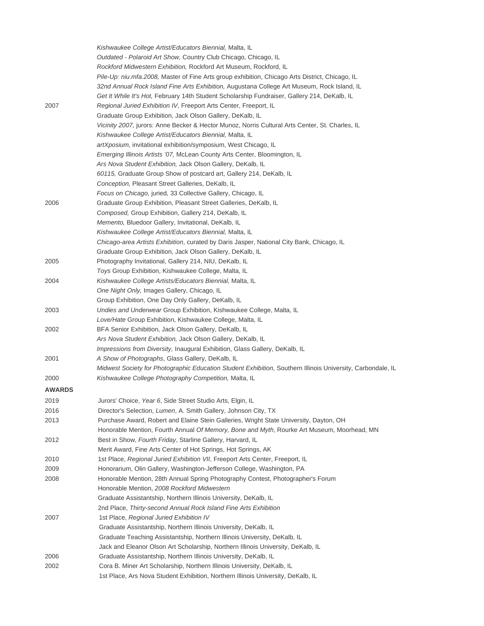|               | Kishwaukee College Artist/Educators Biennial, Malta, IL                                                     |
|---------------|-------------------------------------------------------------------------------------------------------------|
|               | Outdated - Polaroid Art Show, Country Club Chicago, Chicago, IL                                             |
|               | Rockford Midwestern Exhibition, Rockford Art Museum, Rockford, IL                                           |
|               | Pile-Up: niu.mfa.2008, Master of Fine Arts group exhibition, Chicago Arts District, Chicago, IL             |
|               | 32nd Annual Rock Island Fine Arts Exhibition, Augustana College Art Museum, Rock Island, IL                 |
|               | Get It While It's Hot, February 14th Student Scholarship Fundraiser, Gallery 214, DeKalb, IL                |
| 2007          | Regional Juried Exhibition IV, Freeport Arts Center, Freeport, IL                                           |
|               | Graduate Group Exhibition, Jack Olson Gallery, DeKalb, IL                                                   |
|               | Vicinity 2007, jurors: Anne Becker & Hector Munoz, Norris Cultural Arts Center, St. Charles, IL             |
|               | Kishwaukee College Artist/Educators Biennial, Malta, IL                                                     |
|               | artXposium, invitational exhibition/symposium, West Chicago, IL                                             |
|               | Emerging Illinois Artists '07, McLean County Arts Center, Bloomington, IL                                   |
|               | Ars Nova Student Exhibition, Jack Olson Gallery, DeKalb, IL                                                 |
|               | 60115, Graduate Group Show of postcard art, Gallery 214, DeKalb, IL                                         |
|               | Conception, Pleasant Street Galleries, DeKalb, IL                                                           |
|               | Focus on Chicago, juried, 33 Collective Gallery, Chicago, IL                                                |
| 2006          | Graduate Group Exhibition, Pleasant Street Galleries, DeKalb, IL                                            |
|               | Composed, Group Exhibition, Gallery 214, DeKalb, IL                                                         |
|               | Memento, Bluedoor Gallery, Invitational, DeKalb, IL                                                         |
|               | Kishwaukee College Artist/Educators Biennial, Malta, IL                                                     |
|               | Chicago-area Artists Exhibition, curated by Daris Jasper, National City Bank, Chicago, IL                   |
|               | Graduate Group Exhibition, Jack Olson Gallery, DeKalb, IL                                                   |
| 2005          | Photography Invitational, Gallery 214, NIU, DeKalb, IL                                                      |
|               | Toys Group Exhibition, Kishwaukee College, Malta, IL                                                        |
| 2004          | Kishwaukee College Artists/Educators Biennial, Malta, IL                                                    |
|               | One Night Only, Images Gallery, Chicago, IL                                                                 |
|               | Group Exhibition, One Day Only Gallery, DeKalb, IL                                                          |
| 2003          | Undies and Underwear Group Exhibition, Kishwaukee College, Malta, IL                                        |
|               | Love/Hate Group Exhibition, Kishwaukee College, Malta, IL                                                   |
| 2002          | BFA Senior Exhibition, Jack Olson Gallery, DeKalb, IL                                                       |
|               | Ars Nova Student Exhibition, Jack Olson Gallery, DeKalb, IL                                                 |
|               | Impressions from Diversity, Inaugural Exhibition, Glass Gallery, DeKalb, IL                                 |
| 2001          | A Show of Photographs, Glass Gallery, DeKalb, IL                                                            |
|               | Midwest Society for Photographic Education Student Exhibition, Southern Illinois University, Carbondale, IL |
| 2000          | Kishwaukee College Photography Competition, Malta, IL                                                       |
|               |                                                                                                             |
| <b>AWARDS</b> |                                                                                                             |
| 2019          | Jurors' Choice, Year 6, Side Street Studio Arts, Elgin, IL                                                  |
| 2016          | Director's Selection, Lumen, A. Smith Gallery, Johnson City, TX                                             |
| 2013          | Purchase Award, Robert and Elaine Stein Galleries, Wright State University, Dayton, OH                      |
|               | Honorable Mention, Fourth Annual Of Memory, Bone and Myth, Rourke Art Museum, Moorhead, MN                  |
| 2012          | Best in Show, Fourth Friday, Starline Gallery, Harvard, IL                                                  |
|               | Merit Award, Fine Arts Center of Hot Springs, Hot Springs, AK                                               |
| 2010          | 1st Place, Regional Juried Exhibition VII, Freeport Arts Center, Freeport, IL                               |
| 2009          | Honorarium, Olin Gallery, Washington-Jefferson College, Washington, PA                                      |
| 2008          | Honorable Mention, 28th Annual Spring Photography Contest, Photographer's Forum                             |
|               | Honorable Mention, 2008 Rockford Midwestern                                                                 |
|               | Graduate Assistantship, Northern Illinois University, DeKalb, IL                                            |
|               | 2nd Place, Thirty-second Annual Rock Island Fine Arts Exhibition                                            |
| 2007          | 1st Place, Regional Juried Exhibition IV                                                                    |
|               | Graduate Assistantship, Northern Illinois University, DeKalb, IL                                            |
|               | Graduate Teaching Assistantship, Northern Illinois University, DeKalb, IL                                   |
|               | Jack and Eleanor Olson Art Scholarship, Northern Illinois University, DeKalb, IL                            |
| 2006          | Graduate Assistantship, Northern Illinois University, DeKalb, IL                                            |
| 2002          | Cora B. Miner Art Scholarship, Northern Illinois University, DeKalb, IL                                     |
|               | 1st Place, Ars Nova Student Exhibition, Northern Illinois University, DeKalb, IL                            |